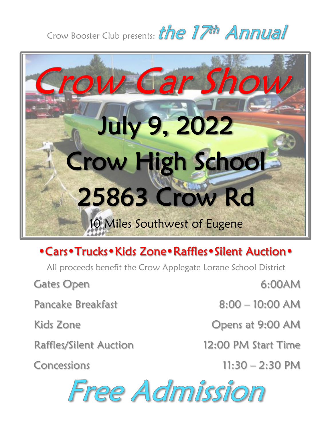## Crow Booster Club presents: the 17th Annual



## • Cars • Trucks • Kids Zone • Raffles • Silent Auction •

All proceeds benefit the Crow Applegate Lorane School District

Gates Open

Pancake Breakfast

Kids Zone

Raffles/Silent Auction

Concessions

6:00AM

8:00 – 10:00 AM

Opens at 9:00 AM

12:00 PM Start Time

11:30 – 2:30 PM